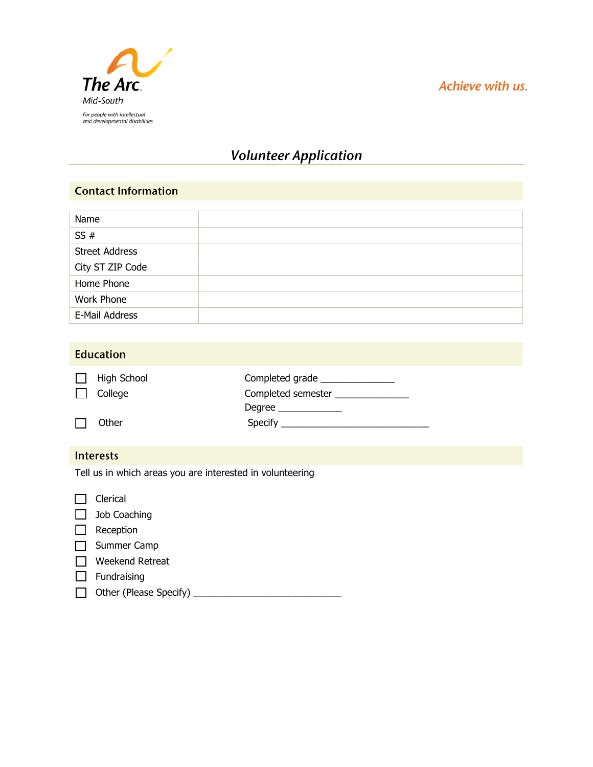

## Achieve with us.

# **Volunteer Application**

#### **Contact Information**

| Name                  |  |
|-----------------------|--|
| SS#                   |  |
| <b>Street Address</b> |  |
| City ST ZIP Code      |  |
| Home Phone            |  |
| Work Phone            |  |
| E-Mail Address        |  |

| <b>Education</b>                                          |                                                                         |                                                                                        |  |  |
|-----------------------------------------------------------|-------------------------------------------------------------------------|----------------------------------------------------------------------------------------|--|--|
|                                                           | <b>High School</b><br>College                                           | Completed grade _______________<br>Completed semester _______________<br>Degree $\_\_$ |  |  |
|                                                           | Other                                                                   |                                                                                        |  |  |
| <b>Interests</b>                                          |                                                                         |                                                                                        |  |  |
| Tell us in which areas you are interested in volunteering |                                                                         |                                                                                        |  |  |
|                                                           | Clerical<br>Job Coaching<br>Reception<br>Summer Camp<br>Weekend Retreat |                                                                                        |  |  |
|                                                           | Fundraising                                                             |                                                                                        |  |  |
|                                                           |                                                                         |                                                                                        |  |  |